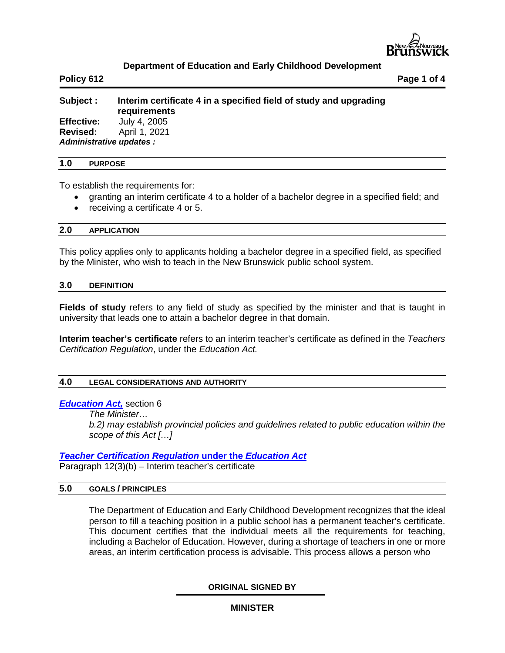

# **Department of Education and Early Childhood Development**

**Policy 612 Page 1 of 4**

# **Subject : Interim certificate 4 in a specified field of study and upgrading requirements Effective:** July 4, 2005

**Revised:** April 1, 2021 *Administrative updates :* 

#### **1.0 PURPOSE**

To establish the requirements for:

- granting an interim certificate 4 to a holder of a bachelor degree in a specified field; and
- receiving a certificate 4 or 5.

## **2.0 APPLICATION**

This policy applies only to applicants holding a bachelor degree in a specified field, as specified by the Minister, who wish to teach in the New Brunswick public school system.

#### **3.0 DEFINITION**

**Fields of study** refers to any field of study as specified by the minister and that is taught in university that leads one to attain a bachelor degree in that domain.

**Interim teacher's certificate** refers to an interim teacher's certificate as defined in the *Teachers Certification Regulation*, under the *Education Act.*

### **4.0 LEGAL CONSIDERATIONS AND AUTHORITY**

#### *[Education Act,](http://laws.gnb.ca/en/BrowseTitle?letter=E)* section 6

*The Minister…*

*b.2) may establish provincial policies and guidelines related to public education within the scope of this Act […]*

#### *[Teacher Certification Regulation](http://laws.gnb.ca/en/BrowseTitle?letter=E)* **under the** *Education Act*

Paragraph 12(3)(b) – Interim teacher's certificate

#### **5.0 GOALS / PRINCIPLES**

The Department of Education and Early Childhood Development recognizes that the ideal person to fill a teaching position in a public school has a permanent teacher's certificate. This document certifies that the individual meets all the requirements for teaching, including a Bachelor of Education. However, during a shortage of teachers in one or more areas, an interim certification process is advisable. This process allows a person who

**ORIGINAL SIGNED BY**

**MINISTER**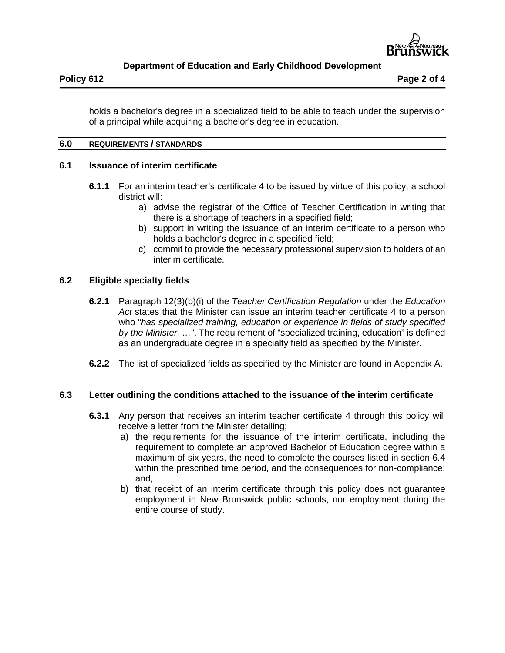

# **Department of Education and Early Childhood Development**

holds a bachelor's degree in a specialized field to be able to teach under the supervision of a principal while acquiring a bachelor's degree in education.

# **6.0 REQUIREMENTS / STANDARDS**

# **6.1 Issuance of interim certificate**

- **6.1.1** For an interim teacher's certificate 4 to be issued by virtue of this policy, a school district will:
	- a) advise the registrar of the Office of Teacher Certification in writing that there is a shortage of teachers in a specified field;
	- b) support in writing the issuance of an interim certificate to a person who holds a bachelor's degree in a specified field;
	- c) commit to provide the necessary professional supervision to holders of an interim certificate.

## **6.2 Eligible specialty fields**

- **6.2.1** Paragraph 12(3)(b)(i) of the *Teacher Certification Regulation* under the *Education Act* states that the Minister can issue an interim teacher certificate 4 to a person who "*has specialized training, education or experience in fields of study specified by the Minister, …*". The requirement of "specialized training, education" is defined as an undergraduate degree in a specialty field as specified by the Minister.
- **6.2.2** The list of specialized fields as specified by the Minister are found in Appendix A.

# **6.3 Letter outlining the conditions attached to the issuance of the interim certificate**

- **6.3.1** Any person that receives an interim teacher certificate 4 through this policy will receive a letter from the Minister detailing;
	- a) the requirements for the issuance of the interim certificate, including the requirement to complete an approved Bachelor of Education degree within a maximum of six years, the need to complete the courses listed in section 6.4 within the prescribed time period, and the consequences for non-compliance; and,
	- b) that receipt of an interim certificate through this policy does not guarantee employment in New Brunswick public schools, nor employment during the entire course of study.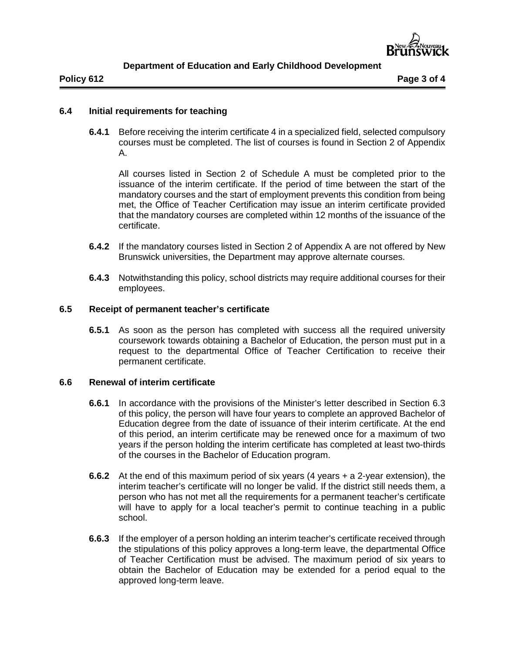

**Policy 612 Page 3 of 4**

# **6.4 Initial requirements for teaching**

**6.4.1** Before receiving the interim certificate 4 in a specialized field, selected compulsory courses must be completed. The list of courses is found in Section 2 of Appendix A.

All courses listed in Section 2 of Schedule A must be completed prior to the issuance of the interim certificate. If the period of time between the start of the mandatory courses and the start of employment prevents this condition from being met, the Office of Teacher Certification may issue an interim certificate provided that the mandatory courses are completed within 12 months of the issuance of the certificate.

- **6.4.2** If the mandatory courses listed in Section 2 of Appendix A are not offered by New Brunswick universities, the Department may approve alternate courses.
- **6.4.3** Notwithstanding this policy, school districts may require additional courses for their employees.

# **6.5 Receipt of permanent teacher's certificate**

**6.5.1** As soon as the person has completed with success all the required university coursework towards obtaining a Bachelor of Education, the person must put in a request to the departmental Office of Teacher Certification to receive their permanent certificate.

# **6.6 Renewal of interim certificate**

- **6.6.1** In accordance with the provisions of the Minister's letter described in Section 6.3 of this policy, the person will have four years to complete an approved Bachelor of Education degree from the date of issuance of their interim certificate. At the end of this period, an interim certificate may be renewed once for a maximum of two years if the person holding the interim certificate has completed at least two-thirds of the courses in the Bachelor of Education program.
- **6.6.2** At the end of this maximum period of six years (4 years + a 2-year extension), the interim teacher's certificate will no longer be valid. If the district still needs them, a person who has not met all the requirements for a permanent teacher's certificate will have to apply for a local teacher's permit to continue teaching in a public school.
- **6.6.3** If the employer of a person holding an interim teacher's certificate received through the stipulations of this policy approves a long-term leave, the departmental Office of Teacher Certification must be advised. The maximum period of six years to obtain the Bachelor of Education may be extended for a period equal to the approved long-term leave.